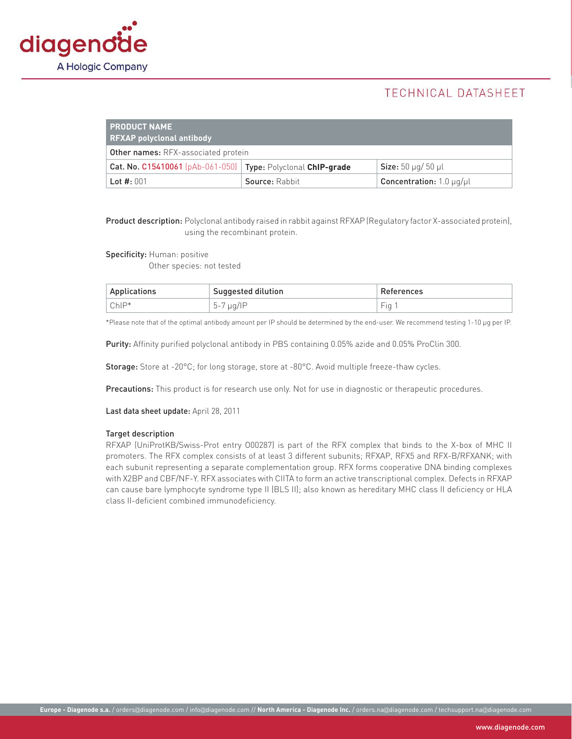

# TECHNICAL DATASHEET

| <b>PRODUCT NAME</b><br><b>RFXAP polyclonal antibody</b>        |                |                                            |  |
|----------------------------------------------------------------|----------------|--------------------------------------------|--|
| <b>Other names: RFX-associated protein</b>                     |                |                                            |  |
| Cat. No. C15410061 (pAb-061-050)   Type: Polyclonal ChIP-grade |                | <b>Size:</b> 50 $\mu$ g/ 50 $\mu$ l        |  |
| Lot $#: 001$                                                   | Source: Rabbit | <b>Concentration:</b> 1.0 $\mu$ g/ $\mu$ l |  |

Product description: Polyclonal antibody raised in rabbit against RFXAP (Regulatory factor X-associated protein), using the recombinant protein.

Specificity: Human: positive

Other species: not tested

| Applications | Suggested dilution     | References                      |
|--------------|------------------------|---------------------------------|
| ChIP*        | $\mu$ q/IP<br>$h_{-}'$ | $\overline{\phantom{a}}$<br>Fia |

\*Please note that of the optimal antibody amount per IP should be determined by the end-user. We recommend testing 1-10 µg per IP.

Purity: Affinity purified polyclonal antibody in PBS containing 0.05% azide and 0.05% ProClin 300.

Storage: Store at -20°C; for long storage, store at -80°C. Avoid multiple freeze-thaw cycles.

Precautions: This product is for research use only. Not for use in diagnostic or therapeutic procedures.

Last data sheet update: April 28, 2011

#### Target description

RFXAP (UniProtKB/Swiss-Prot entry O00287) is part of the RFX complex that binds to the X-box of MHC II promoters. The RFX complex consists of at least 3 different subunits; RFXAP, RFX5 and RFX-B/RFXANK; with each subunit representing a separate complementation group. RFX forms cooperative DNA binding complexes with X2BP and CBF/NF-Y. RFX associates with CIITA to form an active transcriptional complex. Defects in RFXAP can cause bare lymphocyte syndrome type II (BLS II); also known as hereditary MHC class II deficiency or HLA class II-deficient combined immunodeficiency.